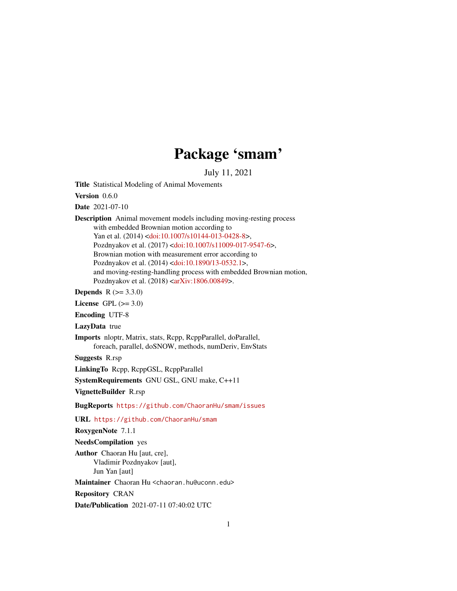# Package 'smam'

July 11, 2021

<span id="page-0-0"></span>Title Statistical Modeling of Animal Movements

Version 0.6.0

Date 2021-07-10

Description Animal movement models including moving-resting process with embedded Brownian motion according to Yan et al. (2014) [<doi:10.1007/s10144-013-0428-8>](https://doi.org/10.1007/s10144-013-0428-8), Pozdnyakov et al. (2017) [<doi:10.1007/s11009-017-9547-6>](https://doi.org/10.1007/s11009-017-9547-6), Brownian motion with measurement error according to Pozdnyakov et al. (2014) [<doi:10.1890/13-0532.1>](https://doi.org/10.1890/13-0532.1), and moving-resting-handling process with embedded Brownian motion, Pozdnyakov et al. (2018) [<arXiv:1806.00849>](https://arxiv.org/abs/1806.00849).

**Depends**  $R (= 3.3.0)$ 

License GPL  $(>= 3.0)$ 

Encoding UTF-8

LazyData true

Imports nloptr, Matrix, stats, Rcpp, RcppParallel, doParallel, foreach, parallel, doSNOW, methods, numDeriv, EnvStats

Suggests R.rsp

LinkingTo Rcpp, RcppGSL, RcppParallel

SystemRequirements GNU GSL, GNU make, C++11

VignetteBuilder R.rsp

BugReports <https://github.com/ChaoranHu/smam/issues>

URL <https://github.com/ChaoranHu/smam>

RoxygenNote 7.1.1

NeedsCompilation yes

Author Chaoran Hu [aut, cre], Vladimir Pozdnyakov [aut], Jun Yan [aut]

Maintainer Chaoran Hu <chaoran.hu@uconn.edu>

Repository CRAN

Date/Publication 2021-07-11 07:40:02 UTC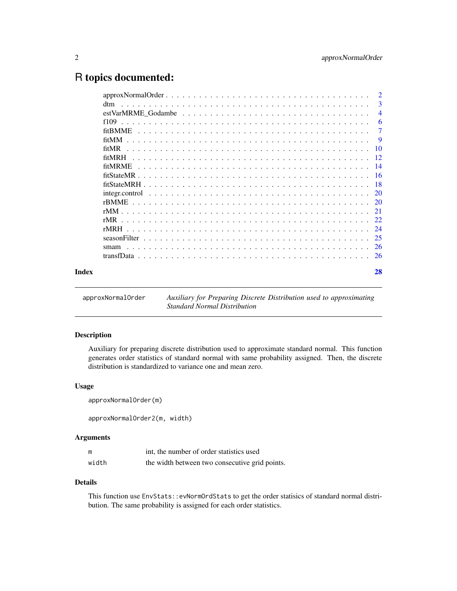# <span id="page-1-0"></span>R topics documented:

|       | $approxNormalOrder \dots \dots \dots \dots \dots \dots \dots \dots \dots \dots \dots \dots \dots \dots \dots \dots \dots$ | $\overline{2}$ |
|-------|---------------------------------------------------------------------------------------------------------------------------|----------------|
|       | dtm                                                                                                                       | 3              |
|       | $estVarMRME$ Godambe $\ldots \ldots \ldots \ldots \ldots \ldots \ldots \ldots \ldots \ldots \ldots \ldots$                | $\overline{4}$ |
|       |                                                                                                                           | -6             |
|       |                                                                                                                           | $\overline{7}$ |
|       | fitMM                                                                                                                     | - 9            |
|       | fitMR                                                                                                                     |                |
|       |                                                                                                                           |                |
|       |                                                                                                                           |                |
|       |                                                                                                                           |                |
|       |                                                                                                                           |                |
|       |                                                                                                                           |                |
|       |                                                                                                                           |                |
|       |                                                                                                                           |                |
|       | rMR                                                                                                                       |                |
|       |                                                                                                                           |                |
|       |                                                                                                                           |                |
|       | smam                                                                                                                      |                |
|       |                                                                                                                           |                |
| Index |                                                                                                                           | 28             |

approxNormalOrder *Auxiliary for Preparing Discrete Distribution used to approximating Standard Normal Distribution*

# Description

Auxiliary for preparing discrete distribution used to approximate standard normal. This function generates order statistics of standard normal with same probability assigned. Then, the discrete distribution is standardized to variance one and mean zero.

# Usage

```
approxNormalOrder(m)
```
approxNormalOrder2(m, width)

# Arguments

| m     | int, the number of order statistics used       |
|-------|------------------------------------------------|
| width | the width between two consecutive grid points. |

#### Details

This function use EnvStats::evNormOrdStats to get the order statisics of standard normal distribution. The same probability is assigned for each order statistics.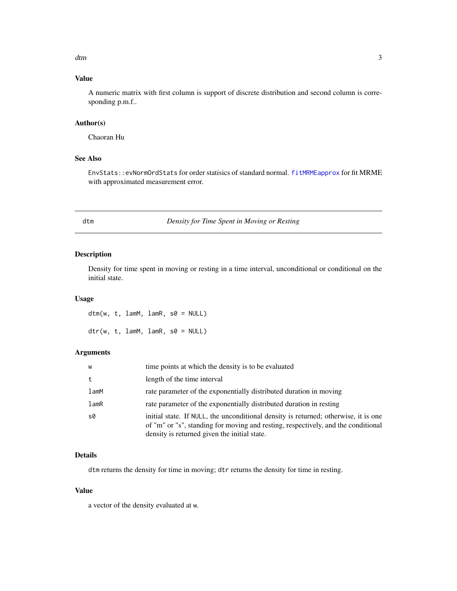<span id="page-2-0"></span>dtm 3

# Value

A numeric matrix with first column is support of discrete distribution and second column is corresponding p.m.f..

# Author(s)

Chaoran Hu

# See Also

EnvStats::evNormOrdStats for order statisics of standard normal. [fitMRMEapprox](#page-13-1) for fit MRME with approximated measurement error.

dtm *Density for Time Spent in Moving or Resting*

# Description

Density for time spent in moving or resting in a time interval, unconditional or conditional on the initial state.

# Usage

dtm(w, t, lamM, lamR, s0 = NULL)  $dtr(w, t, lamM, lamR, s0 = NULL)$ 

#### Arguments

| W          | time points at which the density is to be evaluated                                                                                                                                                                      |
|------------|--------------------------------------------------------------------------------------------------------------------------------------------------------------------------------------------------------------------------|
| t          | length of the time interval                                                                                                                                                                                              |
| $l$ am $M$ | rate parameter of the exponentially distributed duration in moving                                                                                                                                                       |
| lamR       | rate parameter of the exponentially distributed duration in resting                                                                                                                                                      |
| s0         | initial state. If NULL, the unconditional density is returned; otherwise, it is one<br>of "m" or "s", standing for moving and resting, respectively, and the conditional<br>density is returned given the initial state. |

# Details

dtm returns the density for time in moving; dtr returns the density for time in resting.

#### Value

a vector of the density evaluated at w.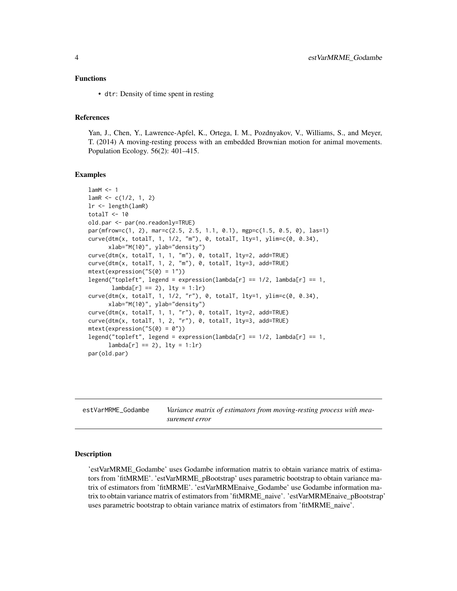#### <span id="page-3-0"></span>Functions

• dtr: Density of time spent in resting

#### References

Yan, J., Chen, Y., Lawrence-Apfel, K., Ortega, I. M., Pozdnyakov, V., Williams, S., and Meyer, T. (2014) A moving-resting process with an embedded Brownian motion for animal movements. Population Ecology. 56(2): 401–415.

#### Examples

```
lamM < -1lamR < -c(1/2, 1, 2)lr <- length(lamR)
totalT <-10old.par <- par(no.readonly=TRUE)
par(mfrow=c(1, 2), mar=c(2.5, 2.5, 1.1, 0.1), mgp=c(1.5, 0.5, 0), las=1)
curve(dtm(x, totalT, 1, 1/2, "m"), 0, totalT, lty=1, ylim=c(0, 0.34),
      xlab="M(10)", ylab="density")
curve(dtm(x, totalT, 1, 1, "m"), 0, totalT, lty=2, add=TRUE)
curve(dtm(x, totalT, 1, 2, "m"), 0, totalT, lty=3, add=TRUE)
mtext(expression("S(0) = 1"))
legend("topleft", legend = expression(lambda[r] == 1/2, lambda[r] == 1,
       lambda[r] == 2), lty = 1:lrcurve(dtm(x, totalT, 1, 1/2, "r"), 0, totalT, lty=1, ylim=c(0, 0.34),
      xlab="M(10)", ylab="density")
curve(dtm(x, totalT, 1, 1, "r"), 0, totalT, lty=2, add=TRUE)
curve(dtm(x, totalT, 1, 2, "r"), 0, totalT, lty=3, add=TRUE)
mtext{text}(expression("S(0) = 0"))legend("topleft", legend = expression(lambda[r] == 1/2, lambda[r] == 1,lambda[r] == 2), lty = 1:lr)
par(old.par)
```
estVarMRME\_Godambe *Variance matrix of estimators from moving-resting process with measurement error*

#### Description

'estVarMRME\_Godambe' uses Godambe information matrix to obtain variance matrix of estimators from 'fitMRME'. 'estVarMRME\_pBootstrap' uses parametric bootstrap to obtain variance matrix of estimators from 'fitMRME'. 'estVarMRMEnaive\_Godambe' use Godambe information matrix to obtain variance matrix of estimators from 'fitMRME\_naive'. 'estVarMRMEnaive\_pBootstrap' uses parametric bootstrap to obtain variance matrix of estimators from 'fitMRME\_naive'.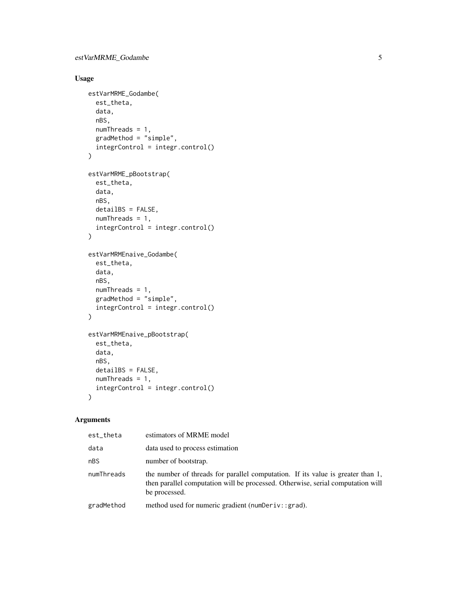# Usage

```
estVarMRME_Godambe(
  est_theta,
  data,
  nBS,
  numThreads = 1,
  gradMethod = "simple",
  integrControl = integr.control()
\mathcal{L}estVarMRME_pBootstrap(
  est_theta,
  data,
  nBS,
  detailBS = FALSE,
  numThreads = 1,
  integrControl = integr.control()
\mathcal{L}estVarMRMEnaive_Godambe(
  est_theta,
  data,
  nBS,
  numThreads = 1,
  gradMethod = "simple",
  integrControl = integr.control()
\mathcal{L}estVarMRMEnaive_pBootstrap(
  est_theta,
  data,
  nBS,
  detailBS = FALSE,
  numThreads = 1,
  integrControl = integr.control()
\mathcal{L}
```

| est theta  | estimators of MRME model                                                                                                                                                            |
|------------|-------------------------------------------------------------------------------------------------------------------------------------------------------------------------------------|
| data       | data used to process estimation                                                                                                                                                     |
| nBS        | number of bootstrap.                                                                                                                                                                |
| numThreads | the number of threads for parallel computation. If its value is greater than 1,<br>then parallel computation will be processed. Otherwise, serial computation will<br>be processed. |
| gradMethod | method used for numeric gradient (numDeriv::grad).                                                                                                                                  |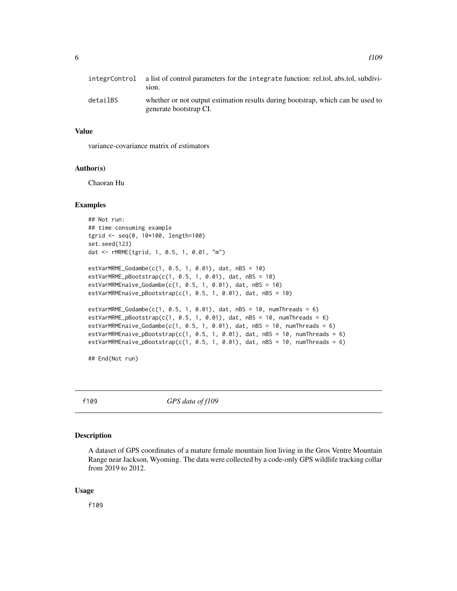<span id="page-5-0"></span>

|          | integrControl a list of control parameters for the integrate function: rel.tol, abs.tol, subdivi-<br>sion. |
|----------|------------------------------------------------------------------------------------------------------------|
| detailBS | whether or not output estimation results during bootstrap, which can be used to<br>generate bootstrap CI.  |

#### Value

variance-covariance matrix of estimators

# Author(s)

Chaoran Hu

#### Examples

```
## Not run:
## time consuming example
tgrid <- seq(0, 10*100, length=100)
set.seed(123)
dat <- rMRME(tgrid, 1, 0.5, 1, 0.01, "m")
estVarMRME_Godambe(c(1, 0.5, 1, 0.01), dat, nBS = 10)
estVarMRME_pBoostrap(c(1, 0.5, 1, 0.01), dat, nBS = 10)estVarMRMEnaive_Godambe(c(1, 0.5, 1, 0.01), dat, nBS = 10)
estVarMRMEnaive_pBootstrap(c(1, 0.5, 1, 0.01), dat, nBS = 10)
estVarMRME_Godambe(c(1, 0.5, 1, 0.01), dat, nBS = 10, numThreads = 6)
estVarMRME_pBootstrap(c(1, 0.5, 1, 0.01), dat, nBS = 10, numThreads = 6)
estVarMRMEnaive_Godambe(c(1, 0.5, 1, 0.01), dat, nBS = 10, numThreads = 6)
estVarMRMEnaive_pBootstrap(c(1, 0.5, 1, 0.01), dat, nBS = 10, numThreads = 6)
estVarMRMEnaive_pBootstrap(c(1, 0.5, 1, 0.01), dat, nBS = 10, numThreads = 6)
```
## End(Not run)

f109 *GPS data of f109*

#### Description

A dataset of GPS coordinates of a mature female mountain lion living in the Gros Ventre Mountain Range near Jackson, Wyoming. The data were collected by a code-only GPS wildlife tracking collar from 2019 to 2012.

#### Usage

f109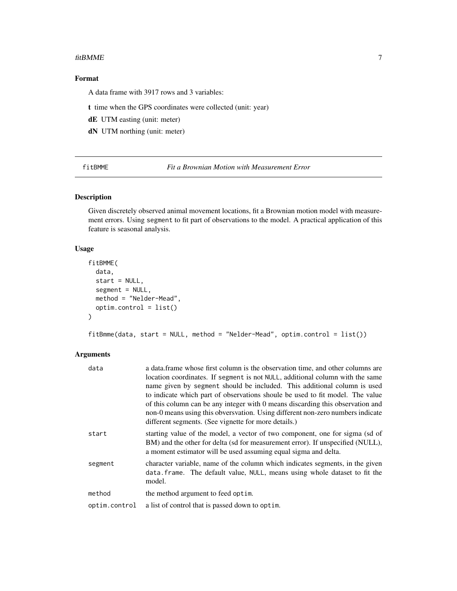#### <span id="page-6-0"></span>fitBMME 7

# Format

A data frame with 3917 rows and 3 variables:

t time when the GPS coordinates were collected (unit: year)

dE UTM easting (unit: meter)

dN UTM northing (unit: meter)

fitBMME *Fit a Brownian Motion with Measurement Error*

# Description

Given discretely observed animal movement locations, fit a Brownian motion model with measurement errors. Using segment to fit part of observations to the model. A practical application of this feature is seasonal analysis.

#### Usage

```
fitBMME(
  data,
  start = NULL,
  segment = NULL,
 method = "Nelder-Mead",
  optim.control = list()
)
```
fitBmme(data, start = NULL, method = "Nelder-Mead", optim.control = list())

| data          | a data frame whose first column is the observation time, and other columns are<br>location coordinates. If segment is not NULL, additional column with the same<br>name given by segment should be included. This additional column is used<br>to indicate which part of observations shoule be used to fit model. The value<br>of this column can be any integer with 0 means discarding this observation and<br>non-0 means using this obversvation. Using different non-zero numbers indicate<br>different segments. (See vignette for more details.) |
|---------------|----------------------------------------------------------------------------------------------------------------------------------------------------------------------------------------------------------------------------------------------------------------------------------------------------------------------------------------------------------------------------------------------------------------------------------------------------------------------------------------------------------------------------------------------------------|
| start         | starting value of the model, a vector of two component, one for sigma (sd of<br>BM) and the other for delta (sd for measurement error). If unspecified (NULL),<br>a moment estimator will be used assuming equal sigma and delta.                                                                                                                                                                                                                                                                                                                        |
| segment       | character variable, name of the column which indicates segments, in the given<br>data.frame. The default value, NULL, means using whole dataset to fit the<br>model.                                                                                                                                                                                                                                                                                                                                                                                     |
| method        | the method argument to feed optim.                                                                                                                                                                                                                                                                                                                                                                                                                                                                                                                       |
| optim.control | a list of control that is passed down to optim.                                                                                                                                                                                                                                                                                                                                                                                                                                                                                                          |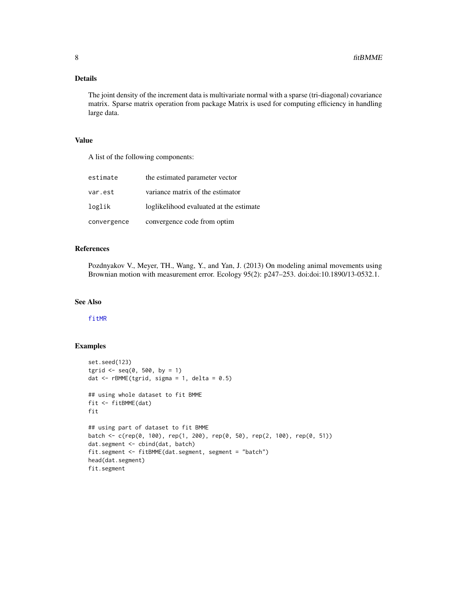# <span id="page-7-0"></span>Details

The joint density of the increment data is multivariate normal with a sparse (tri-diagonal) covariance matrix. Sparse matrix operation from package Matrix is used for computing efficiency in handling large data.

### Value

A list of the following components:

| estimate    | the estimated parameter vector          |
|-------------|-----------------------------------------|
| var.est     | variance matrix of the estimator        |
| loglik      | loglikelihood evaluated at the estimate |
| convergence | convergence code from optim             |

# References

Pozdnyakov V., Meyer, TH., Wang, Y., and Yan, J. (2013) On modeling animal movements using Brownian motion with measurement error. Ecology 95(2): p247–253. doi:doi:10.1890/13-0532.1.

# See Also

[fitMR](#page-9-1)

#### Examples

```
set.seed(123)
tgrid \leq seq(0, 500, by = 1)
dat \leq rBMME(tgrid, sigma = 1, delta = 0.5)
## using whole dataset to fit BMME
fit <- fitBMME(dat)
fit
## using part of dataset to fit BMME
batch <- c(rep(0, 100), rep(1, 200), rep(0, 50), rep(2, 100), rep(0, 51))
dat.segment <- cbind(dat, batch)
fit.segment <- fitBMME(dat.segment, segment = "batch")
head(dat.segment)
fit.segment
```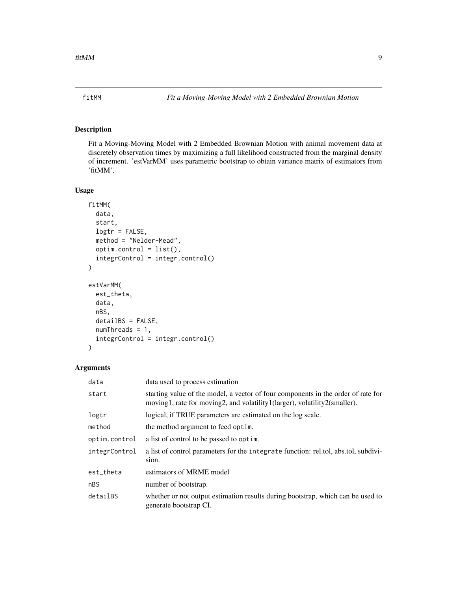#### <span id="page-8-0"></span>Description

Fit a Moving-Moving Model with 2 Embedded Brownian Motion with animal movement data at discretely observation times by maximizing a full likelihood constructed from the marginal density of increment. 'estVarMM' uses parametric bootstrap to obtain variance matrix of estimators from 'fitMM'.

#### Usage

```
fitMM(
  data,
  start,
  logtr = FALSE,
 method = "Nelder-Mead",
  optim.control = list(),
  integrControl = integr.control()
)
estVarMM(
  est_theta,
  data,
  nBS,
  detailBS = FALSE,
  numThreads = 1,
  integrControl = integr.control()
)
```

| data          | data used to process estimation                                                                                                                                |
|---------------|----------------------------------------------------------------------------------------------------------------------------------------------------------------|
| start         | starting value of the model, a vector of four components in the order of rate for<br>moving1, rate for moving2, and volatility1(larger), volatility2(smaller). |
| logtr         | logical, if TRUE parameters are estimated on the log scale.                                                                                                    |
| method        | the method argument to feed optim.                                                                                                                             |
| optim.control | a list of control to be passed to optim.                                                                                                                       |
| integrControl | a list of control parameters for the integrate function: rel.tol, abs.tol, subdivi-<br>sion.                                                                   |
| est_theta     | estimators of MRME model                                                                                                                                       |
| nBS           | number of bootstrap.                                                                                                                                           |
| detailBS      | whether or not output estimation results during bootstrap, which can be used to<br>generate bootstrap CI.                                                      |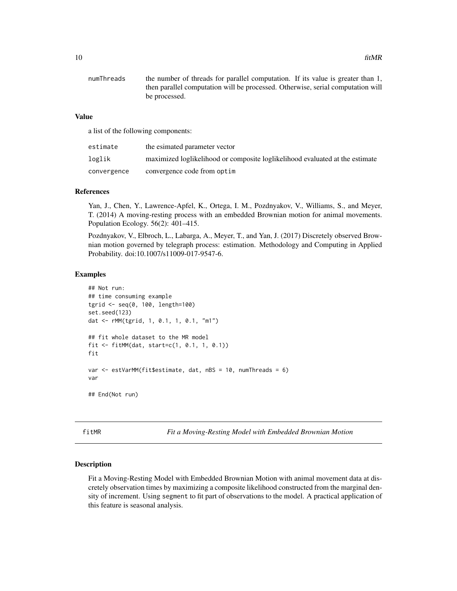<span id="page-9-0"></span>

| numThreads | the number of threads for parallel computation. If its value is greater than 1, |
|------------|---------------------------------------------------------------------------------|
|            | then parallel computation will be processed. Otherwise, serial computation will |
|            | be processed.                                                                   |

# Value

a list of the following components:

| estimate    | the esimated parameter vector                                                |
|-------------|------------------------------------------------------------------------------|
| loglik      | maximized loglikelihood or composite loglikelihood evaluated at the estimate |
| convergence | convergence code from optim                                                  |

#### References

Yan, J., Chen, Y., Lawrence-Apfel, K., Ortega, I. M., Pozdnyakov, V., Williams, S., and Meyer, T. (2014) A moving-resting process with an embedded Brownian motion for animal movements. Population Ecology. 56(2): 401–415.

Pozdnyakov, V., Elbroch, L., Labarga, A., Meyer, T., and Yan, J. (2017) Discretely observed Brownian motion governed by telegraph process: estimation. Methodology and Computing in Applied Probability. doi:10.1007/s11009-017-9547-6.

#### Examples

```
## Not run:
## time consuming example
tgrid <- seq(0, 100, length=100)
set.seed(123)
dat <- rMM(tgrid, 1, 0.1, 1, 0.1, "m1")
## fit whole dataset to the MR model
fit <- fitMM(dat, start=c(1, 0.1, 1, 0.1))
fit
var <- estVarMM(fit$estimate, dat, nBS = 10, numThreads = 6)
var
## End(Not run)
```
<span id="page-9-1"></span>fitMR *Fit a Moving-Resting Model with Embedded Brownian Motion*

#### Description

Fit a Moving-Resting Model with Embedded Brownian Motion with animal movement data at discretely observation times by maximizing a composite likelihood constructed from the marginal density of increment. Using segment to fit part of observations to the model. A practical application of this feature is seasonal analysis.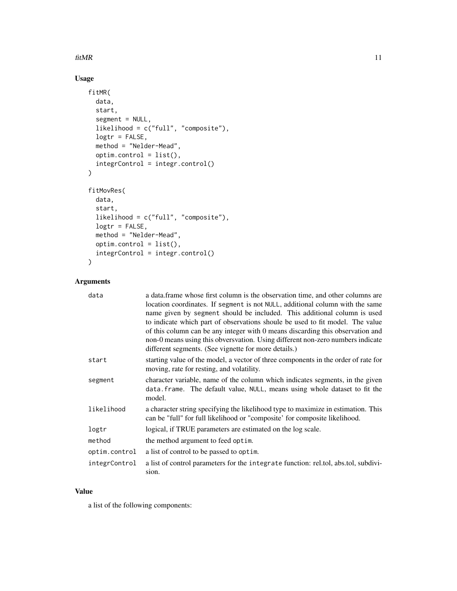### $fitMR$  11

# Usage

```
fitMR(
 data,
  start,
  segment = NULL,
 likelihood = c("full", "composite"),
 logtr = FALSE,
 method = "Nelder-Mead",
 optim.control = list(),
  integrControl = integr.control()
\mathcal{L}fitMovRes(
 data,
  start,
 likelihood = c("full", "composite"),
 logtr = FALSE,
 method = "Nelder-Mead",
 optim.control = list(),
  integrControl = integr.control()
\mathcal{L}
```
# Arguments

| data          | a data frame whose first column is the observation time, and other columns are      |
|---------------|-------------------------------------------------------------------------------------|
|               | location coordinates. If segment is not NULL, additional column with the same       |
|               | name given by segment should be included. This additional column is used            |
|               | to indicate which part of observations shoule be used to fit model. The value       |
|               | of this column can be any integer with 0 means discarding this observation and      |
|               | non-0 means using this obversvation. Using different non-zero numbers indicate      |
|               | different segments. (See vignette for more details.)                                |
| start         | starting value of the model, a vector of three components in the order of rate for  |
|               | moving, rate for resting, and volatility.                                           |
| segment       | character variable, name of the column which indicates segments, in the given       |
|               | data. frame. The default value, NULL, means using whole dataset to fit the          |
|               | model.                                                                              |
| likelihood    | a character string specifying the likelihood type to maximize in estimation. This   |
|               | can be "full" for full likelihood or "composite' for composite likelihood.          |
| logtr         | logical, if TRUE parameters are estimated on the log scale.                         |
| method        | the method argument to feed optim.                                                  |
| optim.control | a list of control to be passed to optim.                                            |
| integrControl | a list of control parameters for the integrate function: rel.tol, abs.tol, subdivi- |
|               | sion.                                                                               |

# Value

a list of the following components: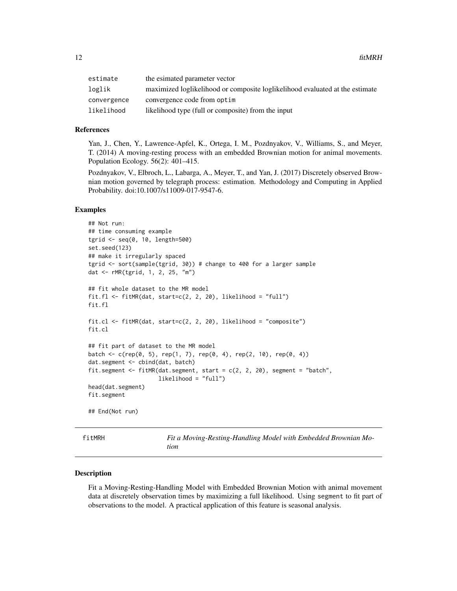<span id="page-11-0"></span>

| estimate    | the esimated parameter vector                                                |
|-------------|------------------------------------------------------------------------------|
| loglik      | maximized loglikelihood or composite loglikelihood evaluated at the estimate |
| convergence | convergence code from optim                                                  |
| likelihood  | likelihood type (full or composite) from the input                           |

#### References

Yan, J., Chen, Y., Lawrence-Apfel, K., Ortega, I. M., Pozdnyakov, V., Williams, S., and Meyer, T. (2014) A moving-resting process with an embedded Brownian motion for animal movements. Population Ecology. 56(2): 401–415.

Pozdnyakov, V., Elbroch, L., Labarga, A., Meyer, T., and Yan, J. (2017) Discretely observed Brownian motion governed by telegraph process: estimation. Methodology and Computing in Applied Probability. doi:10.1007/s11009-017-9547-6.

#### Examples

```
## Not run:
## time consuming example
tgrid <- seq(0, 10, length=500)
set.seed(123)
## make it irregularly spaced
tgrid <- sort(sample(tgrid, 30)) # change to 400 for a larger sample
dat <- rMR(tgrid, 1, 2, 25, "m")
## fit whole dataset to the MR model
fit.fl \le fitMR(dat, start=c(2, 2, 20), likelihood = "full")
fit.fl
fit.cl \le fitMR(dat, start=c(2, 2, 20), likelihood = "composite")
fit.cl
## fit part of dataset to the MR model
batch <- c(rep(0, 5), rep(1, 7), rep(0, 4), rep(2, 10), rep(0, 4))
dat.segment <- cbind(dat, batch)
fit.segment <- fitMR(dat.segment, start = c(2, 2, 20), segment = "batch",
                     likelihood = "full")
head(dat.segment)
fit.segment
## End(Not run)
```
<span id="page-11-1"></span>fitMRH *Fit a Moving-Resting-Handling Model with Embedded Brownian Motion*

#### Description

Fit a Moving-Resting-Handling Model with Embedded Brownian Motion with animal movement data at discretely observation times by maximizing a full likelihood. Using segment to fit part of observations to the model. A practical application of this feature is seasonal analysis.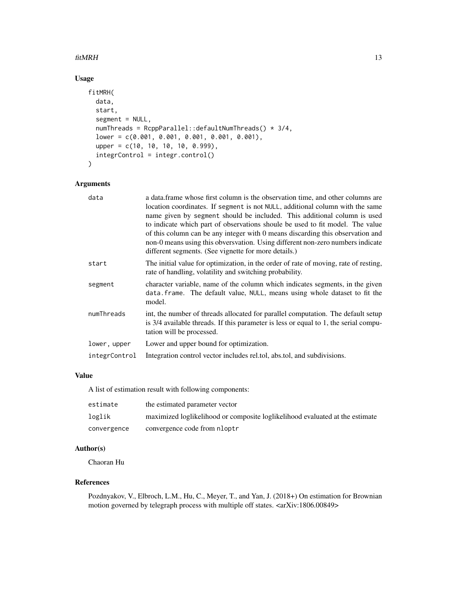#### $fitMRH$  13

# Usage

```
fitMRH(
  data,
  start,
  segment = NULL,
  numThreads = RcppParallel::defaultNumThreads() * 3/4,
  lower = c(0.001, 0.001, 0.001, 0.001, 0.001),
 upper = c(10, 10, 10, 10, 0.999),
  integrControl = integr.control()
\mathcal{L}
```
# Arguments

| data          | a data frame whose first column is the observation time, and other columns are<br>location coordinates. If segment is not NULL, additional column with the same<br>name given by segment should be included. This additional column is used<br>to indicate which part of observations shoule be used to fit model. The value<br>of this column can be any integer with 0 means discarding this observation and<br>non-0 means using this obversvation. Using different non-zero numbers indicate |
|---------------|--------------------------------------------------------------------------------------------------------------------------------------------------------------------------------------------------------------------------------------------------------------------------------------------------------------------------------------------------------------------------------------------------------------------------------------------------------------------------------------------------|
|               | different segments. (See vignette for more details.)                                                                                                                                                                                                                                                                                                                                                                                                                                             |
| start         | The initial value for optimization, in the order of rate of moving, rate of resting,<br>rate of handling, volatility and switching probability.                                                                                                                                                                                                                                                                                                                                                  |
| segment       | character variable, name of the column which indicates segments, in the given<br>data.frame. The default value, NULL, means using whole dataset to fit the<br>model.                                                                                                                                                                                                                                                                                                                             |
| numThreads    | int, the number of threads allocated for parallel computation. The default setup<br>is 3/4 available threads. If this parameter is less or equal to 1, the serial compu-<br>tation will be processed.                                                                                                                                                                                                                                                                                            |
| lower, upper  | Lower and upper bound for optimization.                                                                                                                                                                                                                                                                                                                                                                                                                                                          |
| integrControl | Integration control vector includes related, absited, and subdivisions.                                                                                                                                                                                                                                                                                                                                                                                                                          |

# Value

A list of estimation result with following components:

| estimate    | the estimated parameter vector                                               |
|-------------|------------------------------------------------------------------------------|
| loglik      | maximized loglikelihood or composite loglikelihood evaluated at the estimate |
| convergence | convergence code from nloptr                                                 |

# Author(s)

Chaoran Hu

#### References

Pozdnyakov, V., Elbroch, L.M., Hu, C., Meyer, T., and Yan, J. (2018+) On estimation for Brownian motion governed by telegraph process with multiple off states. <arXiv:1806.00849>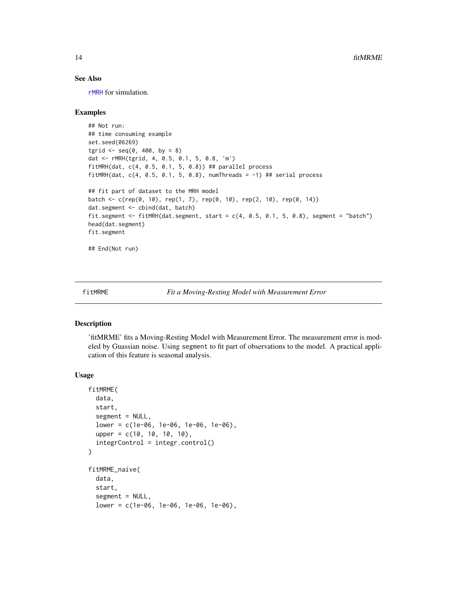# <span id="page-13-0"></span>See Also

[rMRH](#page-23-1) for simulation.

#### Examples

```
## Not run:
## time consuming example
set.seed(06269)
tgrid \leq seq(0, 400, by = 8)
dat <- rMRH(tgrid, 4, 0.5, 0.1, 5, 0.8, 'm')
fitMRH(dat, c(4, 0.5, 0.1, 5, 0.8)) ## parallel process
fitMRH(dat, c(4, 0.5, 0.1, 5, 0.8), numThreads = -1) ## serial process
## fit part of dataset to the MRH model
batch <- c(rep(0, 10), rep(1, 7), rep(0, 10), rep(2, 10), rep(0, 14))
dat.segment <- cbind(dat, batch)
fit.segment <- fitMRH(dat.segment, start = c(4, 0.5, 0.1, 5, 0.8), segment = "batch")
head(dat.segment)
fit.segment
```
## End(Not run)

fitMRME *Fit a Moving-Resting Model with Measurement Error*

#### <span id="page-13-1"></span>Description

'fitMRME' fits a Moving-Resting Model with Measurement Error. The measurement error is modeled by Guassian noise. Using segment to fit part of observations to the model. A practical application of this feature is seasonal analysis.

#### Usage

```
fitMRME(
  data,
  start,
  segment = NULL,
  lower = c(1e-06, 1e-06, 1e-06, 1e-06),
  upper = c(10, 10, 10, 10),
  integrControl = integr.control()
\mathcal{L}fitMRME_naive(
  data,
  start,
  segment = NULL,
  lower = c(1e-06, 1e-06, 1e-06, 1e-06),
```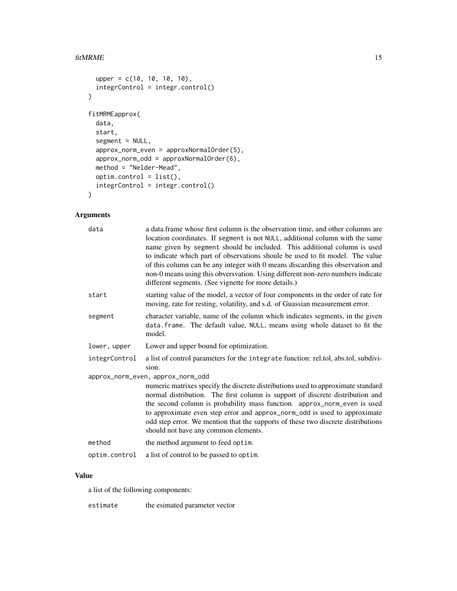#### fitMRME 15

```
upper = c(10, 10, 10, 10),
  integrControl = integr.control()
\mathcal{L}fitMRMEapprox(
  data,
 start,
  segment = NULL,
  approx_norm_even = approxNormalOrder(5),
  approx_norm_odd = approxNormalOrder(6),
 method = "Nelder-Mead",
 optim.control = list(),
  integrControl = integr.control()
)
```
# Arguments

| a data. frame whose first column is the observation time, and other columns are<br>location coordinates. If segment is not NULL, additional column with the same<br>name given by segment should be included. This additional column is used<br>to indicate which part of observations shoule be used to fit model. The value<br>of this column can be any integer with 0 means discarding this observation and<br>non-0 means using this obversvation. Using different non-zero numbers indicate<br>different segments. (See vignette for more details.) |
|-----------------------------------------------------------------------------------------------------------------------------------------------------------------------------------------------------------------------------------------------------------------------------------------------------------------------------------------------------------------------------------------------------------------------------------------------------------------------------------------------------------------------------------------------------------|
| starting value of the model, a vector of four components in the order of rate for<br>moving, rate for resting, volatility, and s.d. of Guassian measurement error.                                                                                                                                                                                                                                                                                                                                                                                        |
| character variable, name of the column which indicates segments, in the given<br>data. frame. The default value, NULL, means using whole dataset to fit the<br>model.                                                                                                                                                                                                                                                                                                                                                                                     |
| Lower and upper bound for optimization.                                                                                                                                                                                                                                                                                                                                                                                                                                                                                                                   |
| a list of control parameters for the integrate function: rel.tol, abs.tol, subdivi-<br>sion.                                                                                                                                                                                                                                                                                                                                                                                                                                                              |
| approx_norm_even, approx_norm_odd                                                                                                                                                                                                                                                                                                                                                                                                                                                                                                                         |
| numeric matrixes specify the discrete distributions used to approximate standard<br>normal distribution. The first column is support of discrete distribution and<br>the second column is probability mass function. approx_norm_even is used<br>to approximate even step error and approx_norm_odd is used to approximate<br>odd step error. We mention that the supports of these two discrete distributions<br>should not have any common elements.                                                                                                    |
| the method argument to feed optim.                                                                                                                                                                                                                                                                                                                                                                                                                                                                                                                        |
| a list of control to be passed to optim.                                                                                                                                                                                                                                                                                                                                                                                                                                                                                                                  |
|                                                                                                                                                                                                                                                                                                                                                                                                                                                                                                                                                           |

# Value

a list of the following components:

estimate the esimated parameter vector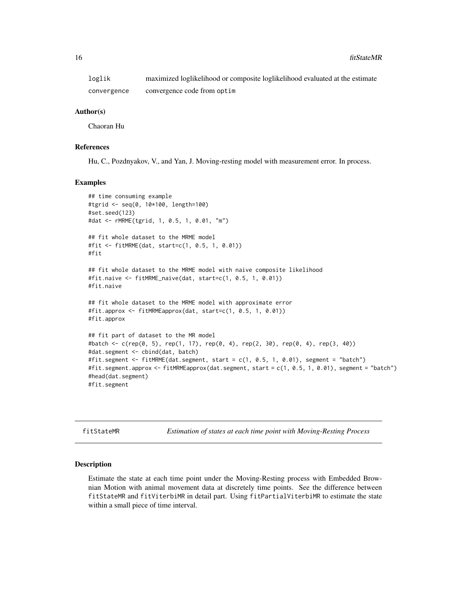<span id="page-15-0"></span>loglik maximized loglikelihood or composite loglikelihood evaluated at the estimate convergence convergence code from optim

#### Author(s)

Chaoran Hu

# References

Hu, C., Pozdnyakov, V., and Yan, J. Moving-resting model with measurement error. In process.

#### Examples

```
## time consuming example
#tgrid <- seq(0, 10*100, length=100)
#set.seed(123)
#dat <- rMRME(tgrid, 1, 0.5, 1, 0.01, "m")
## fit whole dataset to the MRME model
#fit <- fitMRME(dat, start=c(1, 0.5, 1, 0.01))
#fit
## fit whole dataset to the MRME model with naive composite likelihood
#fit.naive <- fitMRME_naive(dat, start=c(1, 0.5, 1, 0.01))
#fit.naive
## fit whole dataset to the MRME model with approximate error
#fit.approx <- fitMRMEapprox(dat, start=c(1, 0.5, 1, 0.01))
#fit.approx
## fit part of dataset to the MR model
#batch <- c(rep(0, 5), rep(1, 17), rep(0, 4), rep(2, 30), rep(0, 4), rep(3, 40))
#dat.segment <- cbind(dat, batch)
#fit.segment <- fitMRME(dat.segment, start = c(1, 0.5, 1, 0.01), segment = "batch")
#fit.segment.approx <- fitMRMEapprox(dat.segment, start = c(1, 0.5, 1, 0.01), segment = "batch")
#head(dat.segment)
#fit.segment
```
fitStateMR *Estimation of states at each time point with Moving-Resting Process*

#### Description

Estimate the state at each time point under the Moving-Resting process with Embedded Brownian Motion with animal movement data at discretely time points. See the difference between fitStateMR and fitViterbiMR in detail part. Using fitPartialViterbiMR to estimate the state within a small piece of time interval.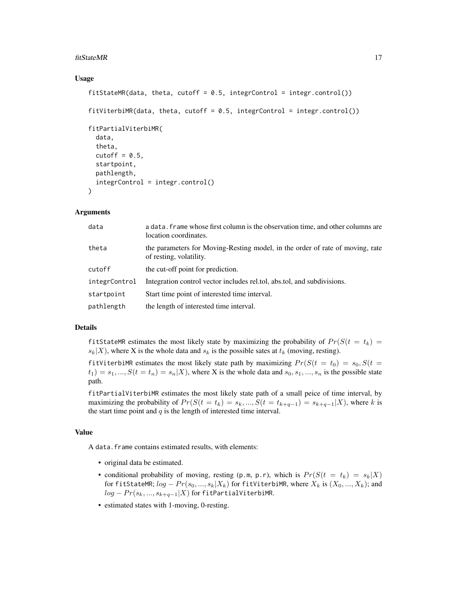#### fitStateMR 17

#### Usage

```
fitStateMR(data, theta, cutoff = 0.5, integrControl = integr.control())
fitViterbinR(data, theta, cutoff = 0.5, integral 1.5)fitPartialViterbiMR(
 data,
 theta,
 cutoff = 0.5,
 startpoint,
 pathlength,
 integrControl = integr.control()
)
```
#### Arguments

| data          | a data. Frame whose first column is the observation time, and other columns are<br>location coordinates. |
|---------------|----------------------------------------------------------------------------------------------------------|
| theta         | the parameters for Moving-Resting model, in the order of rate of moving, rate<br>of resting, volatility. |
| cutoff        | the cut-off point for prediction.                                                                        |
| integrControl | Integration control vector includes related, absited, and subdivisions.                                  |
| startpoint    | Start time point of interested time interval.                                                            |
| pathlength    | the length of interested time interval.                                                                  |

#### Details

fitStateMR estimates the most likely state by maximizing the probability of  $Pr(S(t = t_k))$  $s_k|X$ , where X is the whole data and  $s_k$  is the possible sates at  $t_k$  (moving, resting).

fitViterbiMR estimates the most likely state path by maximizing  $Pr(S(t = t_0) = s_0, S(t =$  $t_1$ ) =  $s_1$ , ...,  $S(t = t_n) = s_n | X$ ), where X is the whole data and  $s_0, s_1, ..., s_n$  is the possible state path.

fitPartialViterbiMR estimates the most likely state path of a small peice of time interval, by maximizing the probability of  $Pr(S(t = t_k) = s_k, ..., S(t = t_{k+q-1}) = s_{k+q-1}|X)$ , where k is the start time point and  $q$  is the length of interested time interval.

#### Value

A data.frame contains estimated results, with elements:

- original data be estimated.
- conditional probability of moving, resting (p.m, p.r), which is  $Pr(S(t = t_k) = s_k|X)$ for fitStateMR;  $log - Pr(s_0, ..., s_k | X_k)$  for fitViterbiMR, where  $X_k$  is  $(X_0, ..., X_k)$ ; and  $log - Pr(s_k, ..., s_{k+q-1}|X)$  for fitPartialViterbiMR.
- estimated states with 1-moving, 0-resting.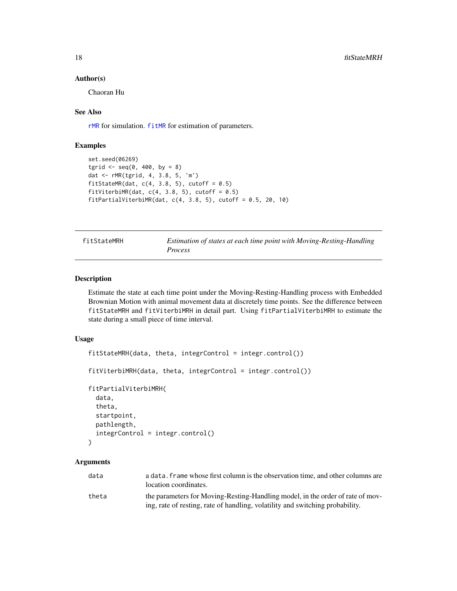#### Author(s)

Chaoran Hu

#### See Also

[rMR](#page-21-1) for simulation. [fitMR](#page-9-1) for estimation of parameters.

#### Examples

```
set.seed(06269)
tgrid \leq seq(0, 400, by = 8)
dat <- rMR(tgrid, 4, 3.8, 5, 'm')
fitStateMR(dat, c(4, 3.8, 5), cutoff = 0.5)
fitViterbiMR(dat, c(4, 3.8, 5), cutoff = 0.5)
fitPartialViterbiMR(dat, c(4, 3.8, 5), cutoff = 0.5, 20, 10)
```

| fitStateMRH | Estimation of states at each time point with Moving-Resting-Handling |
|-------------|----------------------------------------------------------------------|
|             | Process                                                              |

# Description

Estimate the state at each time point under the Moving-Resting-Handling process with Embedded Brownian Motion with animal movement data at discretely time points. See the difference between fitStateMRH and fitViterbiMRH in detail part. Using fitPartialViterbiMRH to estimate the state during a small piece of time interval.

#### Usage

```
fitStateMRH(data, theta, integrControl = integr.control())
fitViterbiMRH(data, theta, integrControl = integr.control())
fitPartialViterbiMRH(
  data,
  theta,
  startpoint,
 pathlength,
  integrControl = integr.control()
)
```

| data  | a data. Frame whose first column is the observation time, and other columns are<br>location coordinates.                                                        |
|-------|-----------------------------------------------------------------------------------------------------------------------------------------------------------------|
| theta | the parameters for Moving-Resting-Handling model, in the order of rate of mov-<br>ing, rate of resting, rate of handling, volatility and switching probability. |

<span id="page-17-0"></span>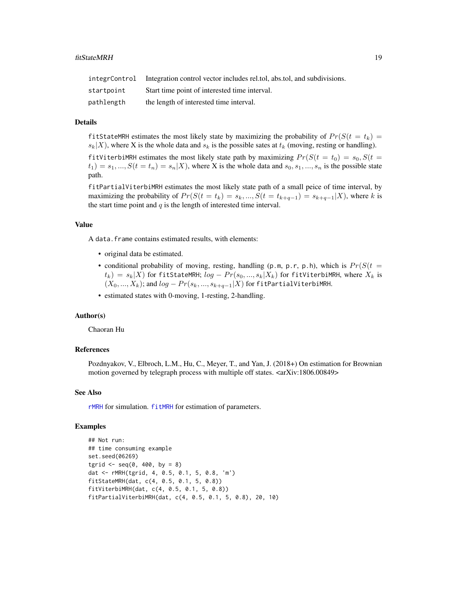<span id="page-18-0"></span>

|            | integrControl Integration control vector includes related, absited, and subdivisions. |
|------------|---------------------------------------------------------------------------------------|
| startpoint | Start time point of interested time interval.                                         |
| pathlength | the length of interested time interval.                                               |

# Details

fitStateMRH estimates the most likely state by maximizing the probability of  $Pr(S(t = t_k))$  $s_k|X|$ , where X is the whole data and  $s_k$  is the possible sates at  $t_k$  (moving, resting or handling).

fitViterbiMRH estimates the most likely state path by maximizing  $Pr(S(t = t_0) = s_0, S(t =$  $t_1$ ) =  $s_1, ..., S(t = t_n) = s_n|X$ , where X is the whole data and  $s_0, s_1, ..., s_n$  is the possible state path.

fitPartialViterbiMRH estimates the most likely state path of a small peice of time interval, by maximizing the probability of  $Pr(S(t = t_k) = s_k, ..., S(t = t_{k+q-1}) = s_{k+q-1}|X)$ , where k is the start time point and  $q$  is the length of interested time interval.

#### Value

A data.frame contains estimated results, with elements:

- original data be estimated.
- conditional probability of moving, resting, handling (p.m, p.r, p.h), which is  $Pr(S(t =$  $t_k$ ) =  $s_k$ |X) for fitStateMRH;  $log - Pr(s_0, ..., s_k|X_k)$  for fitViterbiMRH, where  $X_k$  is  $(X_0, ..., X_k)$ ; and  $log - Pr(s_k, ..., s_{k+q-1}|X)$  for fitPartialViterbiMRH.
- estimated states with 0-moving, 1-resting, 2-handling.

#### Author(s)

Chaoran Hu

#### References

Pozdnyakov, V., Elbroch, L.M., Hu, C., Meyer, T., and Yan, J. (2018+) On estimation for Brownian motion governed by telegraph process with multiple off states. <arXiv:1806.00849>

#### See Also

[rMRH](#page-23-1) for simulation. [fitMRH](#page-11-1) for estimation of parameters.

#### Examples

```
## Not run:
## time consuming example
set.seed(06269)
tgrid \leq seq(0, 400, by = 8)
dat <- rMRH(tgrid, 4, 0.5, 0.1, 5, 0.8, 'm')
fitStateMRH(dat, c(4, 0.5, 0.1, 5, 0.8))
fitViterbiMRH(dat, c(4, 0.5, 0.1, 5, 0.8))
fitPartialViterbiMRH(dat, c(4, 0.5, 0.1, 5, 0.8), 20, 10)
```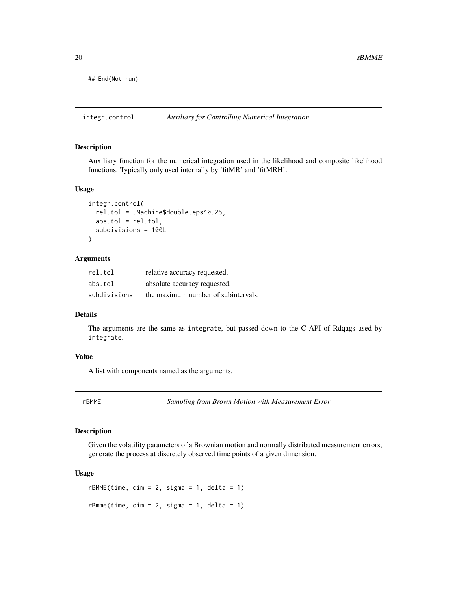<span id="page-19-0"></span>## End(Not run)

integr.control *Auxiliary for Controlling Numerical Integration*

#### Description

Auxiliary function for the numerical integration used in the likelihood and composite likelihood functions. Typically only used internally by 'fitMR' and 'fitMRH'.

#### Usage

```
integr.control(
  rel.tol = .Machine$double.eps^0.25,
  abs.tol = rel.tol,subdivisions = 100L
\mathcal{L}
```
# Arguments

| rel.tol      | relative accuracy requested.        |
|--------------|-------------------------------------|
| abs.tol      | absolute accuracy requested.        |
| subdivisions | the maximum number of subintervals. |

#### Details

The arguments are the same as integrate, but passed down to the C API of Rdqags used by integrate.

#### Value

A list with components named as the arguments.

rBMME *Sampling from Brown Motion with Measurement Error*

# Description

Given the volatility parameters of a Brownian motion and normally distributed measurement errors, generate the process at discretely observed time points of a given dimension.

#### Usage

 $r$ BMME(time, dim = 2, sigma = 1, delta = 1)  $r$ Bmme(time, dim = 2, sigma = 1, delta = 1)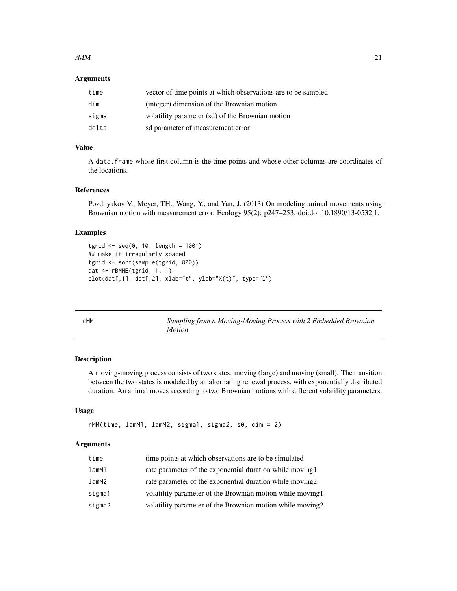#### <span id="page-20-0"></span> $rMM$  21

#### Arguments

| time  | vector of time points at which observations are to be sampled |
|-------|---------------------------------------------------------------|
| dim   | (integer) dimension of the Brownian motion                    |
| sigma | volatility parameter (sd) of the Brownian motion              |
| delta | sd parameter of measurement error                             |

# Value

A data.frame whose first column is the time points and whose other columns are coordinates of the locations.

# References

Pozdnyakov V., Meyer, TH., Wang, Y., and Yan, J. (2013) On modeling animal movements using Brownian motion with measurement error. Ecology 95(2): p247–253. doi:doi:10.1890/13-0532.1.

#### Examples

```
tgrid \leq - seq(0, 10, length = 1001)
## make it irregularly spaced
tgrid <- sort(sample(tgrid, 800))
dat <- rBMME(tgrid, 1, 1)
plot(dat[,1], dat[,2], xlab="t", ylab="X(t)", type="l")
```

| rMM | Sampling from a Moving-Moving Process with 2 Embedded Brownian |
|-----|----------------------------------------------------------------|
|     | <i>Motion</i>                                                  |

#### Description

A moving-moving process consists of two states: moving (large) and moving (small). The transition between the two states is modeled by an alternating renewal process, with exponentially distributed duration. An animal moves according to two Brownian motions with different volatility parameters.

# Usage

```
rMM(time, lamM1, lamM2, sigma1, sigma2, s0, dim = 2)
```

| time        | time points at which observations are to be simulated      |
|-------------|------------------------------------------------------------|
| $l$ am $M1$ | rate parameter of the exponential duration while moving 1  |
| $l$ am $M2$ | rate parameter of the exponential duration while moving 2  |
| sigma1      | volatility parameter of the Brownian motion while moving 1 |
| sigma2      | volatility parameter of the Brownian motion while moving2  |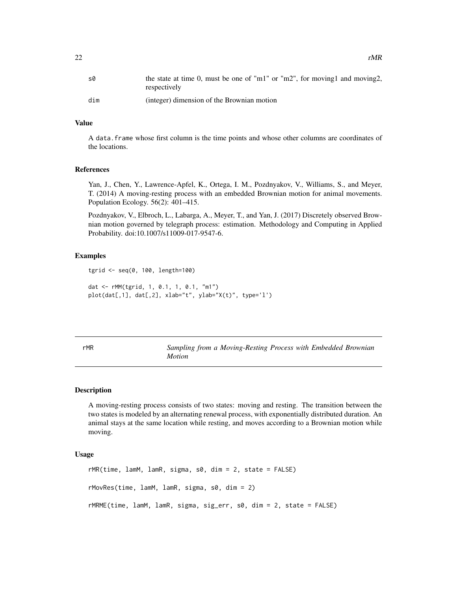<span id="page-21-0"></span>

| s0  | the state at time 0, must be one of "m1" or "m2", for moving1 and moving2,<br>respectively |
|-----|--------------------------------------------------------------------------------------------|
| dim | (integer) dimension of the Brownian motion                                                 |

# Value

A data.frame whose first column is the time points and whose other columns are coordinates of the locations.

#### References

Yan, J., Chen, Y., Lawrence-Apfel, K., Ortega, I. M., Pozdnyakov, V., Williams, S., and Meyer, T. (2014) A moving-resting process with an embedded Brownian motion for animal movements. Population Ecology. 56(2): 401–415.

Pozdnyakov, V., Elbroch, L., Labarga, A., Meyer, T., and Yan, J. (2017) Discretely observed Brownian motion governed by telegraph process: estimation. Methodology and Computing in Applied Probability. doi:10.1007/s11009-017-9547-6.

#### Examples

```
tgrid <- seq(0, 100, length=100)
dat <- rMM(tgrid, 1, 0.1, 1, 0.1, "m1")
plot(dat[,1], dat[,2], xlab="t", ylab="X(t)", type='l')
```
<span id="page-21-1"></span>rMR *Sampling from a Moving-Resting Process with Embedded Brownian Motion*

#### Description

A moving-resting process consists of two states: moving and resting. The transition between the two states is modeled by an alternating renewal process, with exponentially distributed duration. An animal stays at the same location while resting, and moves according to a Brownian motion while moving.

#### Usage

```
rMR(time, lamM, lamR, sigma, s0, dim = 2, state = FALSE)
rMovRes(time, lamM, lamR, sigma, s0, dim = 2)
rMRME(time, lamM, lamR, sigma, sig_err, s0, dim = 2, state = FALSE)
```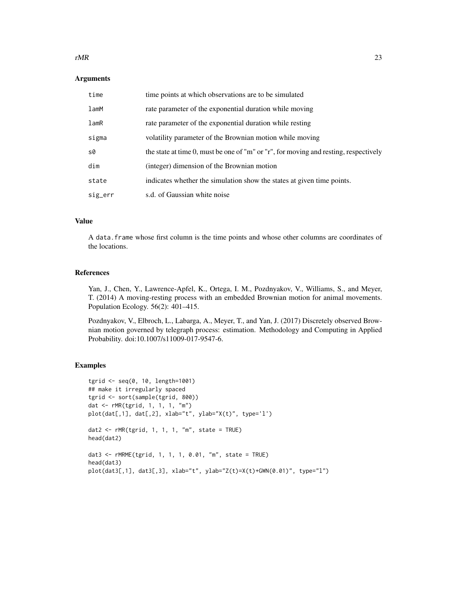#### $rMR$  23

#### Arguments

| time       | time points at which observations are to be simulated                                |
|------------|--------------------------------------------------------------------------------------|
| $l$ am $M$ | rate parameter of the exponential duration while moving                              |
| lamR       | rate parameter of the exponential duration while resting                             |
| sigma      | volatility parameter of the Brownian motion while moving                             |
| s0         | the state at time 0, must be one of "m" or "r", for moving and resting, respectively |
| dim        | (integer) dimension of the Brownian motion                                           |
| state      | indicates whether the simulation show the states at given time points.               |
| sig_err    | s.d. of Gaussian white noise                                                         |

# Value

A data.frame whose first column is the time points and whose other columns are coordinates of the locations.

### References

Yan, J., Chen, Y., Lawrence-Apfel, K., Ortega, I. M., Pozdnyakov, V., Williams, S., and Meyer, T. (2014) A moving-resting process with an embedded Brownian motion for animal movements. Population Ecology. 56(2): 401–415.

Pozdnyakov, V., Elbroch, L., Labarga, A., Meyer, T., and Yan, J. (2017) Discretely observed Brownian motion governed by telegraph process: estimation. Methodology and Computing in Applied Probability. doi:10.1007/s11009-017-9547-6.

# Examples

```
tgrid <- seq(0, 10, length=1001)
## make it irregularly spaced
tgrid <- sort(sample(tgrid, 800))
dat <- rMR(tgrid, 1, 1, 1, "m")
plot(dat[,1], dat[,2], xlab="t", ylab="X(t)", type='l')
dat2 <- rMR(tgrid, 1, 1, 1, "m", state = TRUE)
head(dat2)
dat3 <- rMRME(tgrid, 1, 1, 1, 0.01, "m", state = TRUE)
head(dat3)
plot(data[[, 1], data[[, 3], xlabel" t", ylabel" Z(t)=X(t)+GWN(0.01)" , type="1")
```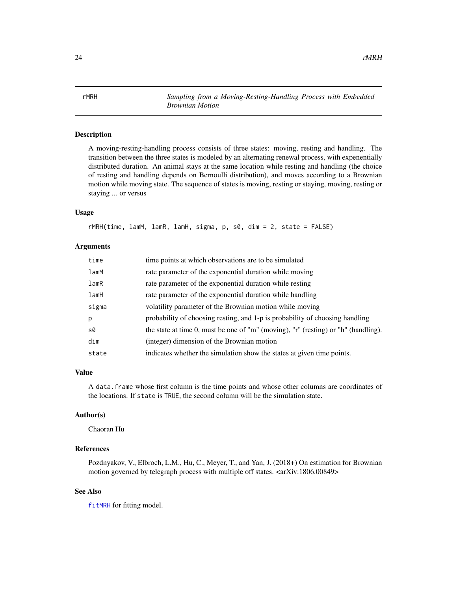<span id="page-23-1"></span><span id="page-23-0"></span>rMRH *Sampling from a Moving-Resting-Handling Process with Embedded Brownian Motion*

# Description

A moving-resting-handling process consists of three states: moving, resting and handling. The transition between the three states is modeled by an alternating renewal process, with expenentially distributed duration. An animal stays at the same location while resting and handling (the choice of resting and handling depends on Bernoulli distribution), and moves according to a Brownian motion while moving state. The sequence of states is moving, resting or staying, moving, resting or staying ... or versus

#### Usage

```
rMRH(time, lamM, lamR, lamH, sigma, p, s0, dim = 2, state = FALSE)
```
#### Arguments

| time       | time points at which observations are to be simulated                              |
|------------|------------------------------------------------------------------------------------|
| $l$ am $M$ | rate parameter of the exponential duration while moving                            |
| lamR       | rate parameter of the exponential duration while resting                           |
| lamH       | rate parameter of the exponential duration while handling                          |
| sigma      | volatility parameter of the Brownian motion while moving                           |
| p          | probability of choosing resting, and 1-p is probability of choosing handling       |
| s0         | the state at time 0, must be one of "m" (moving), "r" (resting) or "h" (handling). |
| dim        | (integer) dimension of the Brownian motion                                         |
| state      | indicates whether the simulation show the states at given time points.             |

#### Value

A data.frame whose first column is the time points and whose other columns are coordinates of the locations. If state is TRUE, the second column will be the simulation state.

# Author(s)

Chaoran Hu

#### References

Pozdnyakov, V., Elbroch, L.M., Hu, C., Meyer, T., and Yan, J. (2018+) On estimation for Brownian motion governed by telegraph process with multiple off states. <arXiv:1806.00849>

#### See Also

[fitMRH](#page-11-1) for fitting model.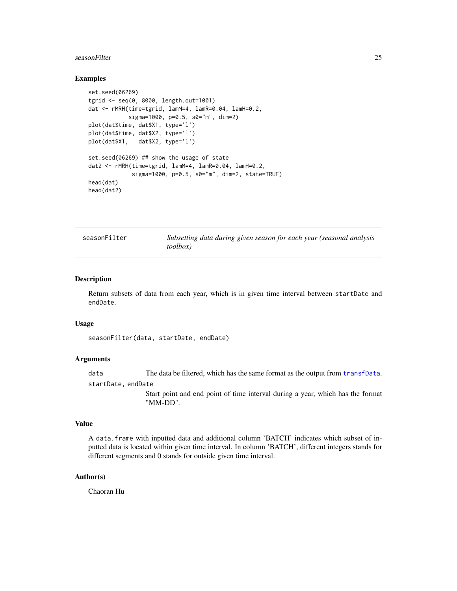#### <span id="page-24-0"></span>seasonFilter 25

#### Examples

```
set.seed(06269)
tgrid <- seq(0, 8000, length.out=1001)
dat <- rMRH(time=tgrid, lamM=4, lamR=0.04, lamH=0.2,
            sigma=1000, p=0.5, s0="m", dim=2)
plot(dat$time, dat$X1, type='l')
plot(dat$time, dat$X2, type='l')
plot(dat$X1, dat$X2, type='l')
set.seed(06269) ## show the usage of state
dat2 <- rMRH(time=tgrid, lamM=4, lamR=0.04, lamH=0.2,
             sigma=1000, p=0.5, s0="m", dim=2, state=TRUE)
head(dat)
head(dat2)
```

| seasonFilter | Subsetting data during given season for each year (seasonal analysis |
|--------------|----------------------------------------------------------------------|
|              | <i>toolbox</i> )                                                     |

#### Description

Return subsets of data from each year, which is in given time interval between startDate and endDate.

#### Usage

seasonFilter(data, startDate, endDate)

# Arguments

data The data be filtered, which has the same format as the output from [transfData](#page-25-1). startDate, endDate

> Start point and end point of time interval during a year, which has the format "MM-DD".

#### Value

A data.frame with inputted data and additional column 'BATCH' indicates which subset of inputted data is located within given time interval. In column 'BATCH', different integers stands for different segments and 0 stands for outside given time interval.

# Author(s)

Chaoran Hu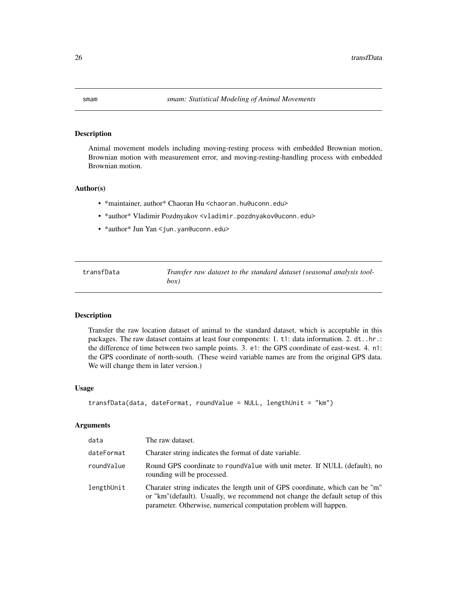<span id="page-25-0"></span>

#### Description

Animal movement models including moving-resting process with embedded Brownian motion, Brownian motion with measurement error, and moving-resting-handling process with embedded Brownian motion.

# Author(s)

- \*maintainer, author\* Chaoran Hu <chaoran.hu@uconn.edu>
- \*author\* Vladimir Pozdnyakov <vladimir.pozdnyakov@uconn.edu>
- \*author\* Jun Yan <jun.yan@uconn.edu>

<span id="page-25-1"></span>transfData *Transfer raw dataset to the standard dataset (seasonal analysis toolbox)*

# Description

Transfer the raw location dataset of animal to the standard dataset, which is acceptable in this packages. The raw dataset contains at least four components: 1. t1: data information. 2. dt..hr.: the difference of time between two sample points. 3. e1: the GPS coordinate of east-west. 4. n1: the GPS coordinate of north-south. (These weird variable names are from the original GPS data. We will change them in later version.)

#### Usage

```
transfData(data, dateFormat, roundValue = NULL, lengthUnit = "km")
```

| data       | The raw dataset.                                                                                                                                                                                                                   |
|------------|------------------------------------------------------------------------------------------------------------------------------------------------------------------------------------------------------------------------------------|
| dateFormat | Charater string indicates the format of date variable.                                                                                                                                                                             |
| roundValue | Round GPS coordinate to roundValue with unit meter. If NULL (default), no<br>rounding will be processed.                                                                                                                           |
| lengthUnit | Charater string indicates the length unit of GPS coordinate, which can be "m"<br>or "km" (default). Usually, we recommend not change the default setup of this<br>parameter. Otherwise, numerical computation problem will happen. |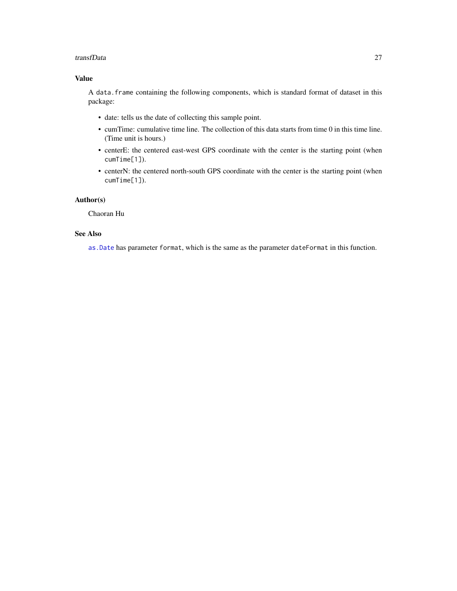#### <span id="page-26-0"></span>transfData 27

# Value

A data.frame containing the following components, which is standard format of dataset in this package:

- date: tells us the date of collecting this sample point.
- cumTime: cumulative time line. The collection of this data starts from time 0 in this time line. (Time unit is hours.)
- centerE: the centered east-west GPS coordinate with the center is the starting point (when cumTime[1]).
- centerN: the centered north-south GPS coordinate with the center is the starting point (when cumTime[1]).

# Author(s)

Chaoran Hu

# See Also

[as.Date](#page-0-0) has parameter format, which is the same as the parameter dateFormat in this function.